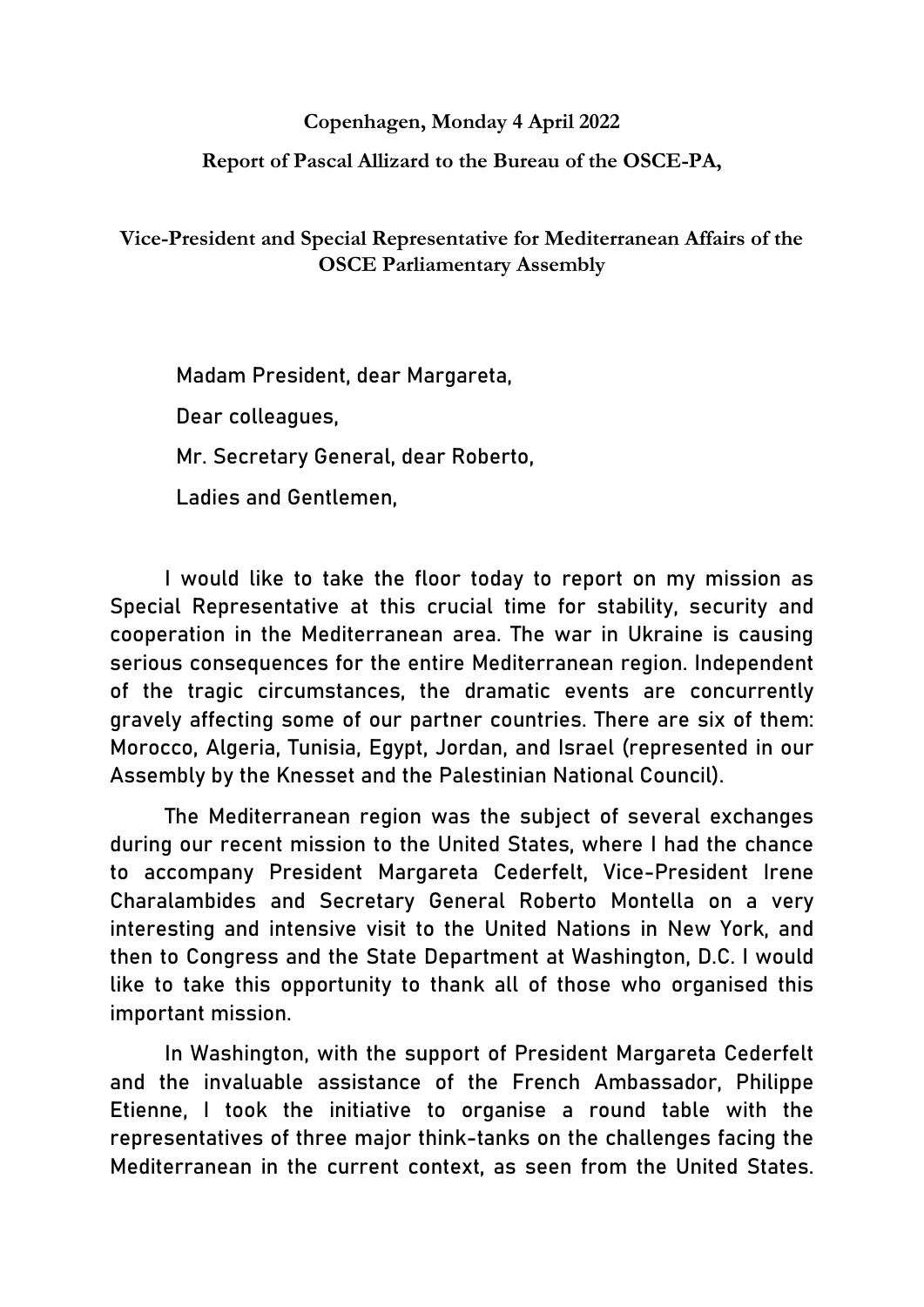## **Copenhagen, Monday 4 April 2022**

## **Report of Pascal Allizard to the Bureau of the OSCE-PA,**

**Vice-President and Special Representative for Mediterranean Affairs of the OSCE Parliamentary Assembly**

Madam President, dear Margareta,

Dear colleagues,

Mr. Secretary General, dear Roberto,

Ladies and Gentlemen,

I would like to take the floor today to report on my mission as Special Representative at this crucial time for stability, security and cooperation in the Mediterranean area. The war in Ukraine is causing serious consequences for the entire Mediterranean region. Independent of the tragic circumstances, the dramatic events are concurrently gravely affecting some of our partner countries. There are six of them: Morocco, Algeria, Tunisia, Egypt, Jordan, and Israel (represented in our Assembly by the Knesset and the Palestinian National Council).

The Mediterranean region was the subject of several exchanges during our recent mission to the United States, where I had the chance to accompany President Margareta Cederfelt, Vice-President Irene Charalambides and Secretary General Roberto Montella on a very interesting and intensive visit to the United Nations in New York, and then to Congress and the State Department at Washington, D.C. I would like to take this opportunity to thank all of those who organised this important mission.

In Washington, with the support of President Margareta Cederfelt and the invaluable assistance of the French Ambassador, Philippe Etienne, I took the initiative to organise a round table with the representatives of three major think-tanks on the challenges facing the Mediterranean in the current context, as seen from the United States.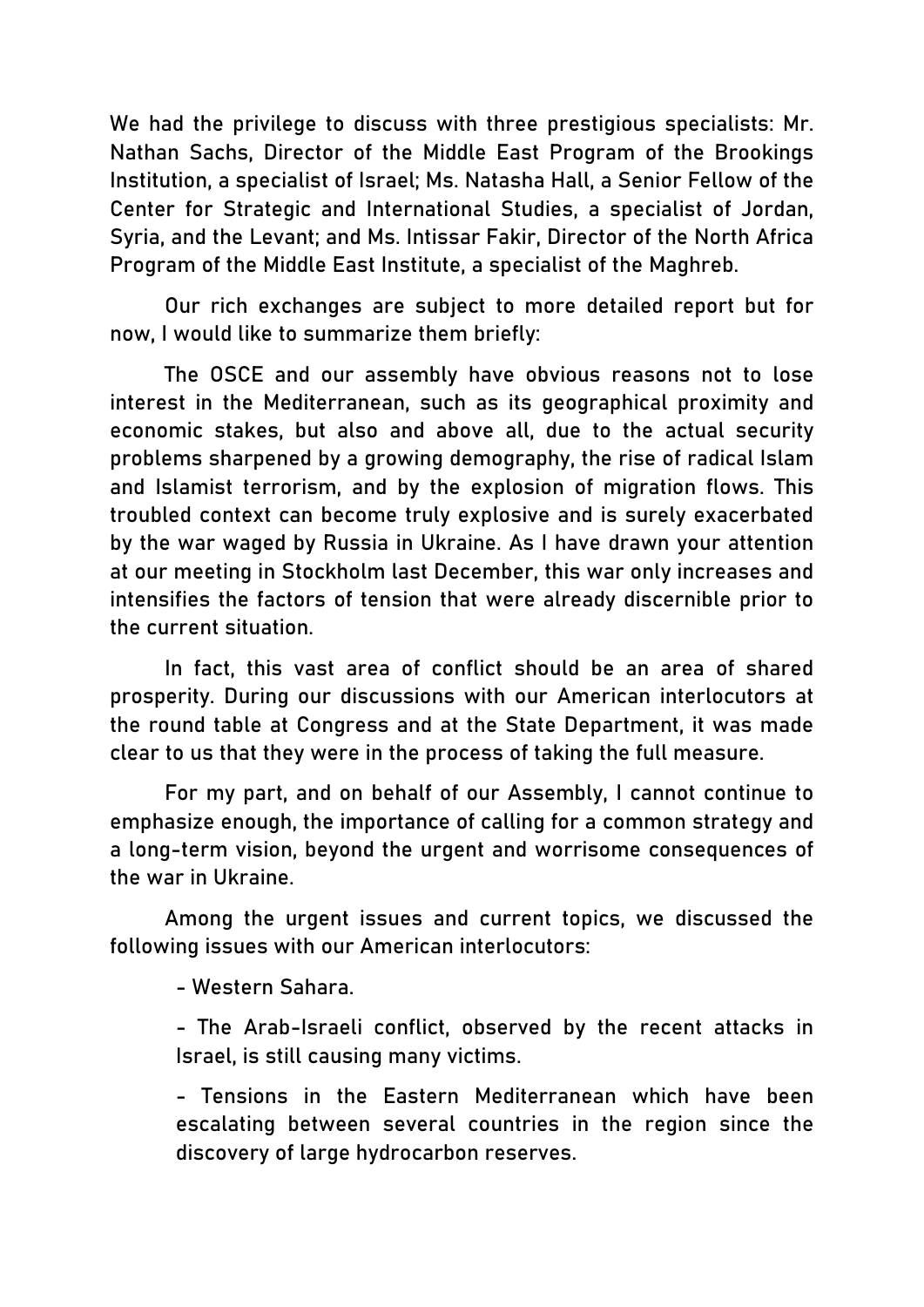We had the privilege to discuss with three prestigious specialists: Mr. Nathan Sachs, Director of the Middle East Program of the Brookings Institution, a specialist of Israel; Ms. Natasha Hall, a Senior Fellow of the Center for Strategic and International Studies, a specialist of Jordan, Syria, and the Levant; and Ms. Intissar Fakir, Director of the North Africa Program of the Middle East Institute, a specialist of the Maghreb.

Our rich exchanges are subject to more detailed report but for now, I would like to summarize them briefly:

The OSCE and our assembly have obvious reasons not to lose interest in the Mediterranean, such as its geographical proximity and economic stakes, but also and above all, due to the actual security problems sharpened by a growing demography, the rise of radical Islam and Islamist terrorism, and by the explosion of migration flows. This troubled context can become truly explosive and is surely exacerbated by the war waged by Russia in Ukraine. As I have drawn your attention at our meeting in Stockholm last December, this war only increases and intensifies the factors of tension that were already discernible prior to the current situation.

In fact, this vast area of conflict should be an area of shared prosperity. During our discussions with our American interlocutors at the round table at Congress and at the State Department, it was made clear to us that they were in the process of taking the full measure.

For my part, and on behalf of our Assembly, I cannot continue to emphasize enough, the importance of calling for a common strategy and a long-term vision, beyond the urgent and worrisome consequences of the war in Ukraine.

Among the urgent issues and current topics, we discussed the following issues with our American interlocutors:

- Western Sahara.

- The Arab-Israeli conflict, observed by the recent attacks in Israel, is still causing many victims.

- Tensions in the Eastern Mediterranean which have been escalating between several countries in the region since the discovery of large hydrocarbon reserves.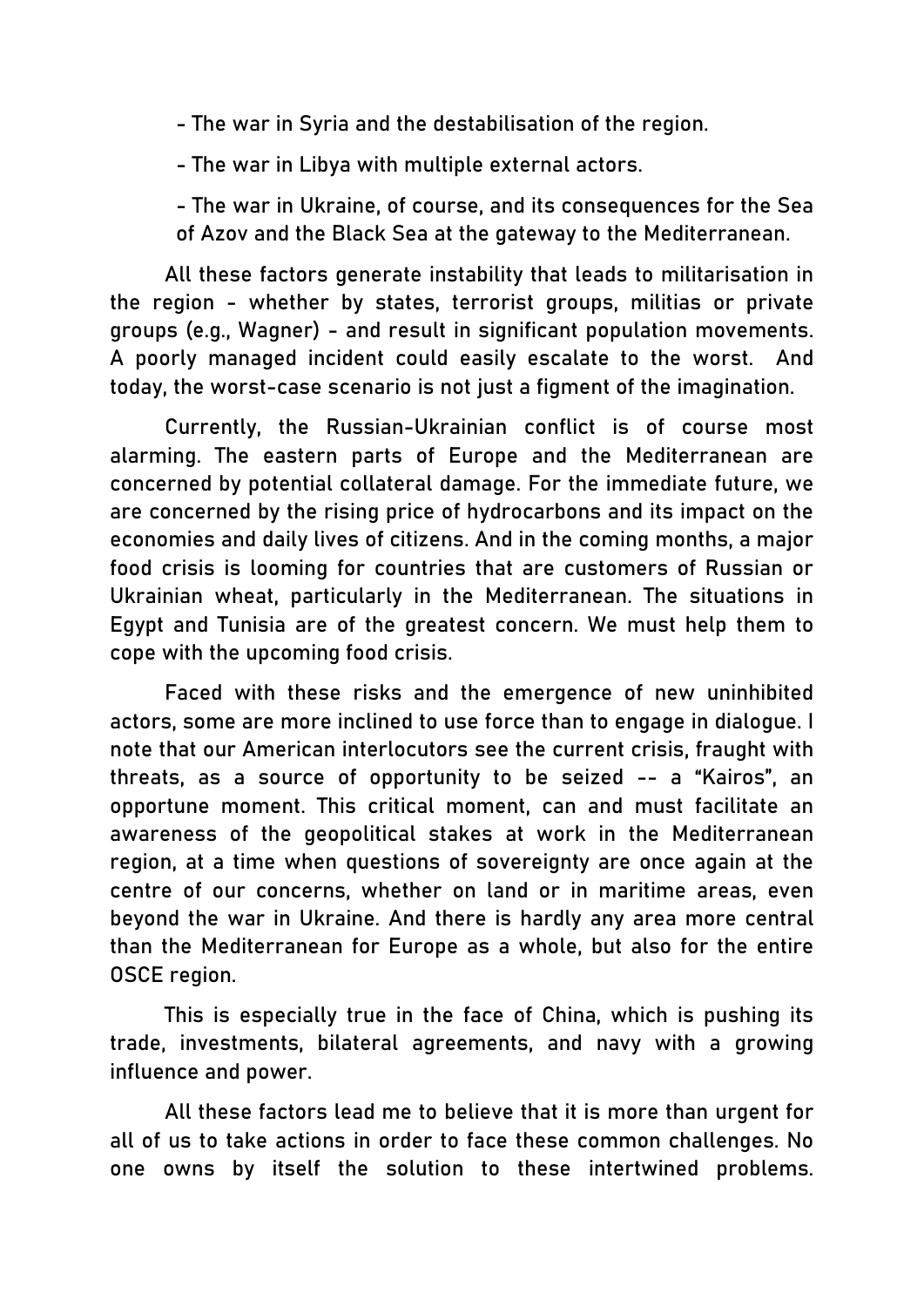- The war in Syria and the destabilisation of the region.

- The war in Libya with multiple external actors.

- The war in Ukraine, of course, and its consequences for the Sea of Azov and the Black Sea at the gateway to the Mediterranean.

All these factors generate instability that leads to militarisation in the region - whether by states, terrorist groups, militias or private groups (e.g., Wagner) - and result in significant population movements. A poorly managed incident could easily escalate to the worst. And today, the worst-case scenario is not just a figment of the imagination.

Currently, the Russian-Ukrainian conflict is of course most alarming. The eastern parts of Europe and the Mediterranean are concerned by potential collateral damage. For the immediate future, we are concerned by the rising price of hydrocarbons and its impact on the economies and daily lives of citizens. And in the coming months, a major food crisis is looming for countries that are customers of Russian or Ukrainian wheat, particularly in the Mediterranean. The situations in Egypt and Tunisia are of the greatest concern. We must help them to cope with the upcoming food crisis.

Faced with these risks and the emergence of new uninhibited actors, some are more inclined to use force than to engage in dialogue. I note that our American interlocutors see the current crisis, fraught with threats, as a source of opportunity to be seized -- a "Kairos", an opportune moment. This critical moment, can and must facilitate an awareness of the geopolitical stakes at work in the Mediterranean region, at a time when questions of sovereignty are once again at the centre of our concerns, whether on land or in maritime areas, even beyond the war in Ukraine. And there is hardly any area more central than the Mediterranean for Europe as a whole, but also for the entire OSCE region.

This is especially true in the face of China, which is pushing its trade, investments, bilateral agreements, and navy with a growing influence and power.

All these factors lead me to believe that it is more than urgent for all of us to take actions in order to face these common challenges. No one owns by itself the solution to these intertwined problems.